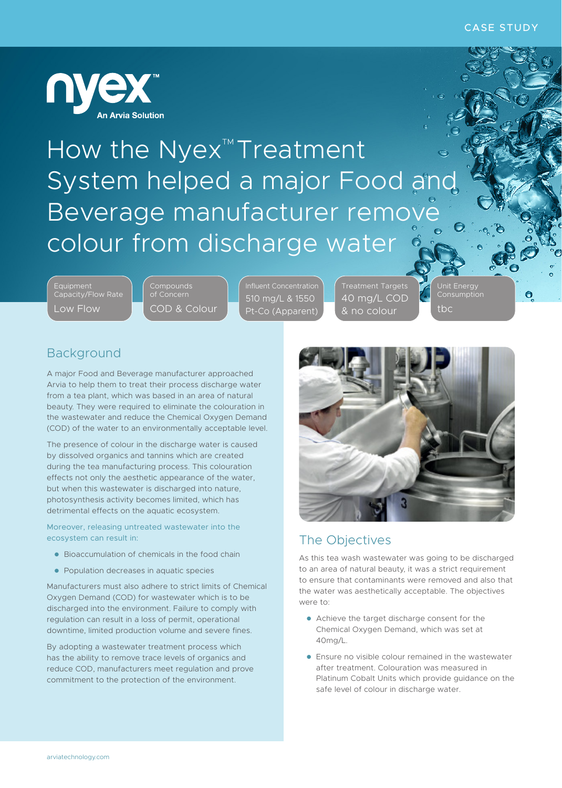

How the Nyex<sup>™</sup>Treatment System helped a major Food and Beverage manufacturer remove colour from discharge water

Capacity/Flow Rate Low Flow

COD & Colour

510 mg/L & 1550 Pt-Co (Apparent)

Treatment Targets 40 mg/L COD & no colour

Unit Energy tbc

 $\bullet$ 

# Background

A major Food and Beverage manufacturer approached Arvia to help them to treat their process discharge water from a tea plant, which was based in an area of natural beauty. They were required to eliminate the colouration in the wastewater and reduce the Chemical Oxygen Demand (COD) of the water to an environmentally acceptable level.

The presence of colour in the discharge water is caused by dissolved organics and tannins which are created during the tea manufacturing process. This colouration effects not only the aesthetic appearance of the water, but when this wastewater is discharged into nature, photosynthesis activity becomes limited, which has detrimental effects on the aquatic ecosystem.

Moreover, releasing untreated wastewater into the ecosystem can result in:

- **.** Bioaccumulation of chemicals in the food chain
- **Population decreases in aquatic species**

Manufacturers must also adhere to strict limits of Chemical Oxygen Demand (COD) for wastewater which is to be discharged into the environment. Failure to comply with regulation can result in a loss of permit, operational downtime, limited production volume and severe fines.

By adopting a wastewater treatment process which has the ability to remove trace levels of organics and reduce COD, manufacturers meet regulation and prove commitment to the protection of the environment.



# The Objectives

As this tea wash wastewater was going to be discharged to an area of natural beauty, it was a strict requirement to ensure that contaminants were removed and also that the water was aesthetically acceptable. The objectives were to:

- Achieve the target discharge consent for the Chemical Oxygen Demand, which was set at 40mg/L.
- **•** Ensure no visible colour remained in the wastewater after treatment. Colouration was measured in Platinum Cobalt Units which provide guidance on the safe level of colour in discharge water.